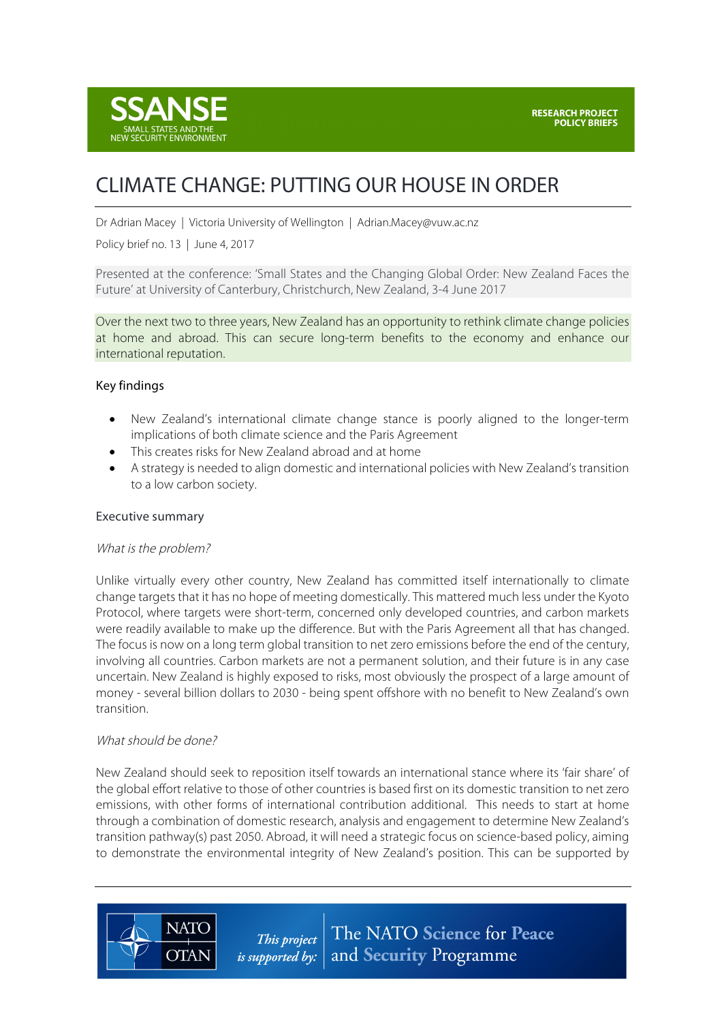

# CLIMATE CHANGE: PUTTING OUR HOUSE IN ORDER

Dr Adrian Macey | Victoria University of Wellington | Adrian.Macey@vuw.ac.nz

Policy brief no. 13 | June 4, 2017

Presented at the conference: 'Small States and the Changing Global Order: New Zealand Faces the Future' at University of Canterbury, Christchurch, New Zealand, 3-4 June 2017

Over the next two to three years, New Zealand has an opportunity to rethink climate change policies at home and abroad. This can secure long-term benefits to the economy and enhance our international reputation.

#### Key findings

- New Zealand's international climate change stance is poorly aligned to the longer-term implications of both climate science and the Paris Agreement
- This creates risks for New Zealand abroad and at home
- A strategy is needed to align domestic and international policies with New Zealand's transition to a low carbon society.

#### Executive summary

#### What is the problem?

Unlike virtually every other country, New Zealand has committed itself internationally to climate change targets that it has no hope of meeting domestically. This mattered much less under the Kyoto Protocol, where targets were short-term, concerned only developed countries, and carbon markets were readily available to make up the difference. But with the Paris Agreement all that has changed. The focus is now on a long term global transition to net zero emissions before the end of the century, involving all countries. Carbon markets are not a permanent solution, and their future is in any case uncertain. New Zealand is highly exposed to risks, most obviously the prospect of a large amount of money - several billion dollars to 2030 - being spent offshore with no benefit to New Zealand's own transition.

#### What should be done?

**NATO** 

**OTAN** 

New Zealand should seek to reposition itself towards an international stance where its 'fair share' of the global effort relative to those of other countries is based first on its domestic transition to net zero emissions, with other forms of international contribution additional. This needs to start at home through a combination of domestic research, analysis and engagement to determine New Zealand's transition pathway(s) past 2050. Abroad, it will need a strategic focus on science-based policy, aiming to demonstrate the environmental integrity of New Zealand's position. This can be supported by

> The NATO Science for Peace This project *is supported by:*  $|$  and **Security** Programme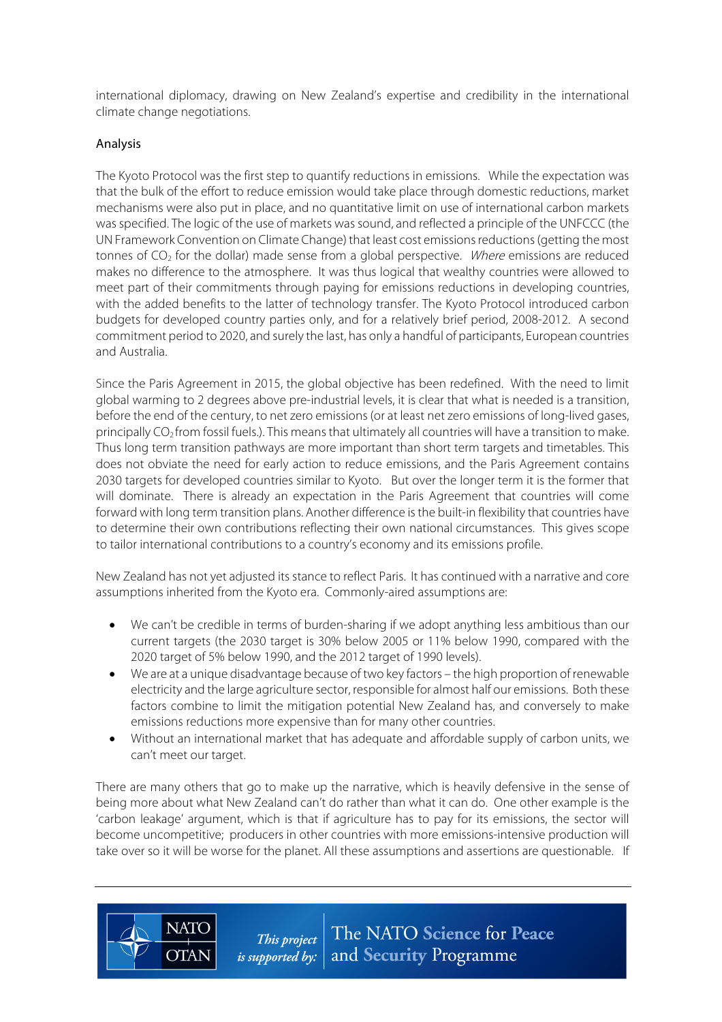international diplomacy, drawing on New Zealand's expertise and credibility in the international climate change negotiations.

## Analysis

The Kyoto Protocol was the first step to quantify reductions in emissions. While the expectation was that the bulk of the effort to reduce emission would take place through domestic reductions, market mechanisms were also put in place, and no quantitative limit on use of international carbon markets was specified. The logic of the use of markets was sound, and reflected a principle of the UNFCCC (the UN Framework Convention on Climate Change) that least cost emissions reductions (getting the most tonnes of  $CO<sub>2</sub>$  for the dollar) made sense from a global perspective. Where emissions are reduced makes no difference to the atmosphere. It was thus logical that wealthy countries were allowed to meet part of their commitments through paying for emissions reductions in developing countries, with the added benefits to the latter of technology transfer. The Kyoto Protocol introduced carbon budgets for developed country parties only, and for a relatively brief period, 2008-2012. A second commitment period to 2020, and surely the last, has only a handful of participants, European countries and Australia.

Since the Paris Agreement in 2015, the global objective has been redefined. With the need to limit global warming to 2 degrees above pre-industrial levels, it is clear that what is needed is a transition, before the end of the century, to net zero emissions (or at least net zero emissions of long-lived gases, principally  $CO<sub>2</sub>$  from fossil fuels.). This means that ultimately all countries will have a transition to make. Thus long term transition pathways are more important than short term targets and timetables. This does not obviate the need for early action to reduce emissions, and the Paris Agreement contains 2030 targets for developed countries similar to Kyoto. But over the longer term it is the former that will dominate. There is already an expectation in the Paris Agreement that countries will come forward with long term transition plans. Another difference isthe built-in flexibility that countries have to determine their own contributions reflecting their own national circumstances. This gives scope to tailor international contributions to a country's economy and its emissions profile.

New Zealand has not yet adjusted its stance to reflect Paris. It has continued with a narrative and core assumptions inherited from the Kyoto era. Commonly-aired assumptions are:

- We can't be credible in terms of burden-sharing if we adopt anything less ambitious than our current targets (the 2030 target is 30% below 2005 or 11% below 1990, compared with the 2020 target of 5% below 1990, and the 2012 target of 1990 levels).
- We are at a unique disadvantage because of two key factors the high proportion of renewable electricity and the large agriculture sector, responsible for almost half our emissions. Both these factors combine to limit the mitigation potential New Zealand has, and conversely to make emissions reductions more expensive than for many other countries.
- Without an international market that has adequate and affordable supply of carbon units, we can't meet our target.

There are many others that go to make up the narrative, which is heavily defensive in the sense of being more about what New Zealand can't do rather than what it can do. One other example is the 'carbon leakage' argument, which is that if agriculture has to pay for its emissions, the sector will become uncompetitive; producers in other countries with more emissions-intensive production will take over so it will be worse for the planet. All these assumptions and assertions are questionable. If

**NATO** 

**OTAN** 

The NATO Science for Peace This project *is supported by:*  $\vert$  and **Security** Programme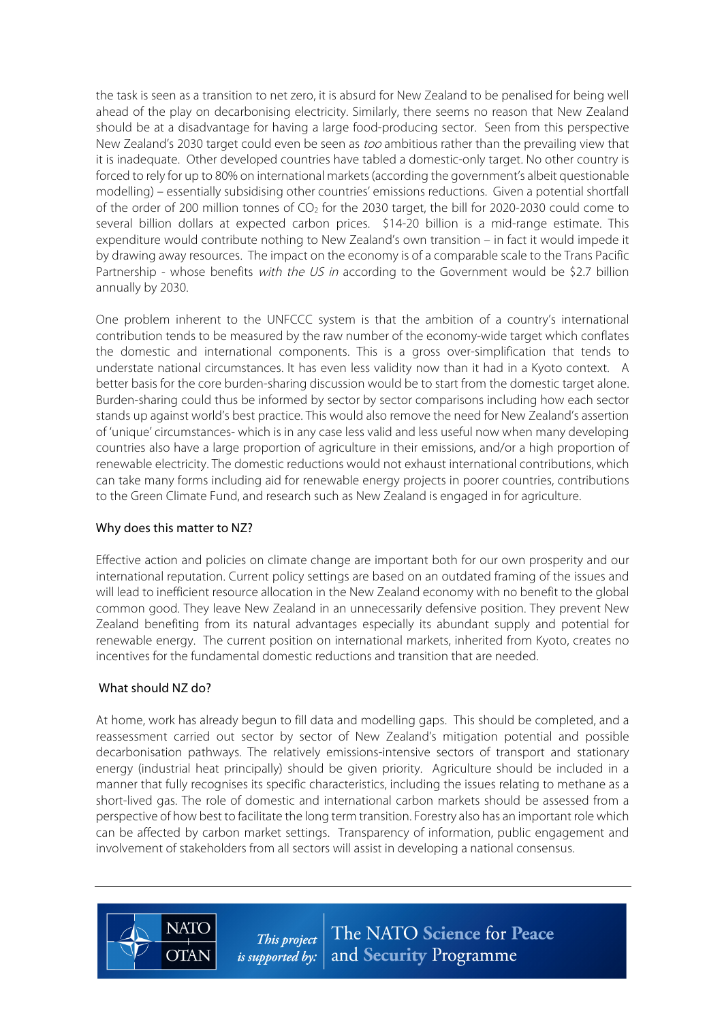the task is seen as a transition to net zero, it is absurd for New Zealand to be penalised for being well ahead of the play on decarbonising electricity. Similarly, there seems no reason that New Zealand should be at a disadvantage for having a large food-producing sector. Seen from this perspective New Zealand's 2030 target could even be seen as *too* ambitious rather than the prevailing view that it is inadequate. Other developed countries have tabled a domestic-only target. No other country is forced to rely for up to 80% on international markets (according the government's albeit questionable modelling) – essentially subsidising other countries' emissions reductions. Given a potential shortfall of the order of 200 million tonnes of  $CO<sub>2</sub>$  for the 2030 target, the bill for 2020-2030 could come to several billion dollars at expected carbon prices. \$14-20 billion is a mid-range estimate. This expenditure would contribute nothing to New Zealand's own transition – in fact it would impede it by drawing away resources. The impact on the economy is of a comparable scale to the Trans Pacific Partnership - whose benefits with the US in according to the Government would be \$2.7 billion annually by 2030.

One problem inherent to the UNFCCC system is that the ambition of a country's international contribution tends to be measured by the raw number of the economy-wide target which conflates the domestic and international components. This is a gross over-simplification that tends to understate national circumstances. It has even less validity now than it had in a Kyoto context. A better basis for the core burden-sharing discussion would be to start from the domestic target alone. Burden-sharing could thus be informed by sector by sector comparisons including how each sector stands up against world's best practice. This would also remove the need for New Zealand's assertion of 'unique' circumstances- which is in any case less valid and less useful now when many developing countries also have a large proportion of agriculture in their emissions, and/or a high proportion of renewable electricity. The domestic reductions would not exhaust international contributions, which can take many forms including aid for renewable energy projects in poorer countries, contributions to the Green Climate Fund, and research such as New Zealand is engaged in for agriculture.

### Why does this matter to NZ?

Effective action and policies on climate change are important both for our own prosperity and our international reputation. Current policy settings are based on an outdated framing of the issues and will lead to inefficient resource allocation in the New Zealand economy with no benefit to the global common good. They leave New Zealand in an unnecessarily defensive position. They prevent New Zealand benefiting from its natural advantages especially its abundant supply and potential for renewable energy. The current position on international markets, inherited from Kyoto, creates no incentives for the fundamental domestic reductions and transition that are needed.

## What should NZ do?

**NATC** 

**OTAN** 

At home, work has already begun to fill data and modelling gaps. This should be completed, and a reassessment carried out sector by sector of New Zealand's mitigation potential and possible decarbonisation pathways. The relatively emissions-intensive sectors of transport and stationary energy (industrial heat principally) should be given priority. Agriculture should be included in a manner that fully recognises its specific characteristics, including the issues relating to methane as a short-lived gas. The role of domestic and international carbon markets should be assessed from a perspective of how best to facilitate the long term transition. Forestry also has an important role which can be affected by carbon market settings. Transparency of information, public engagement and involvement of stakeholders from all sectors will assist in developing a national consensus.

> The NATO Science for Peace This project *is supported by:*  $\vert$  and **Security** Programme